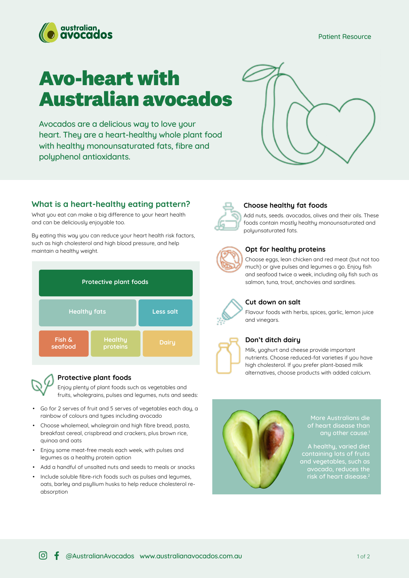Patient Resource



# **Avo-heart with Australian avocados**

Avocados are a delicious way to love your heart. They are a heart-healthy whole plant food with healthy monounsaturated fats, fibre and polyphenol antioxidants.



# **What is a heart-healthy eating pattern?**

What you eat can make a big difference to your heart health and can be deliciously enjoyable too.

By eating this way you can reduce your heart health risk factors, such as high cholesterol and high blood pressure, and help maintain a healthy weight.





#### **Protective plant foods**

Enjoy plenty of plant foods such as vegetables and fruits, wholegrains, pulses and legumes, nuts and seeds:

- Go for 2 serves of fruit and 5 serves of vegetables each day, a rainbow of colours and types including avocado
- Choose wholemeal, wholegrain and high fibre bread, pasta, breakfast cereal, crispbread and crackers, plus brown rice, quinoa and oats
- Enjoy some meat-free meals each week, with pulses and legumes as a healthy protein option
- Add a handful of unsalted nuts and seeds to meals or snacks
- Include soluble fibre-rich foods such as pulses and legumes, oats, barley and psyllium husks to help reduce cholesterol reabsorption



### **Choose healthy fat foods**

Add nuts, seeds. avocados, olives and their oils. These foods contain mostly healthy monounsaturated and polyunsaturated fats.



#### **Opt for healthy proteins**

Choose eggs, lean chicken and red meat (but not too much) or give pulses and legumes a go. Enjoy fish and seafood twice a week, including oily fish such as salmon, tuna, trout, anchovies and sardines.



#### **Cut down on salt**

Flavour foods with herbs, spices, garlic, lemon juice and vinegars.



## **Don't ditch dairy**

Milk, yoghurt and cheese provide important nutrients. Choose reduced-fat varieties if you have high cholesterol. If you prefer plant-based milk alternatives, choose products with added calcium.



More Australians die of heart disease than any other cause.<sup>1</sup>

A healthy, varied diet containing lots of fruits and vegetables, such as